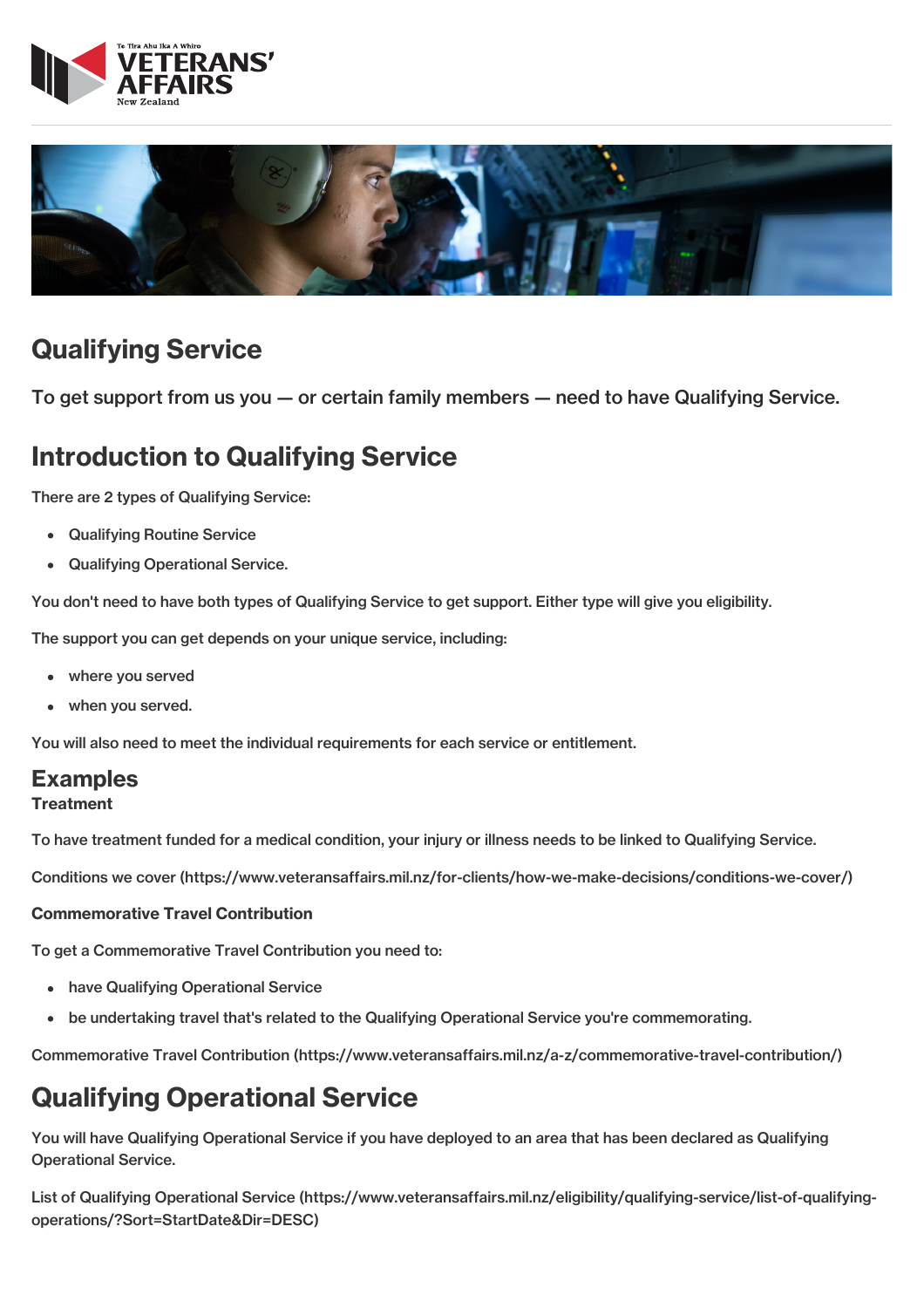



# Qualifying Service

To get support from us you — or certain family members — need to have Qualifying Service.

# Introduction to Qualifying Service

There are 2 types of Qualifying Service:

- Qualifying Routine Service
- Qualifying Operational Service.

You don't need to have both types of Qualifying Service to get support. Either type will give you eligibility.

The support you can get depends on your unique service, including:

- where you served
- when you served.

You will also need to meet the individual requirements for each service or entitlement.

## Examples

#### **Treatment**

To have treatment funded for a medical condition, your injury or illness needs to be linked to Qualifying Service.

Conditions we cover [\(https://www.veteransaffairs.mil.nz/for-clients/how-we-make-decisions/conditions-we-cover/\)](http://veteransaffairs.mil.nz/for-clients/how-we-make-decisions/conditions-we-cover/)

#### Commemorative Travel Contribution

To get a Commemorative Travel Contribution you need to:

- have Qualifying Operational Service
- be undertaking travel that's related to the Qualifying Operational Service you're commemorating.

Commemorative Travel Contribution [\(https://www.veteransaffairs.mil.nz/a-z/commemorative-travel-contribution/\)](http://veteransaffairs.mil.nz/a-z/commemorative-travel-contribution/)

# Qualifying Operational Service

You will have Qualifying Operational Service if you have deployed to an area that has been declared as Qualifying Operational Service.

List of Qualifying Operational Service [\(https://www.veteransaffairs.mil.nz/eligibility/qualifying-service/list-of-qualifying](http://veteransaffairs.mil.nz/eligibility/qualifying-service/list-of-qualifying-operations/?Sort=StartDate&Dir=DESC)operations/?Sort=StartDate&Dir=DESC)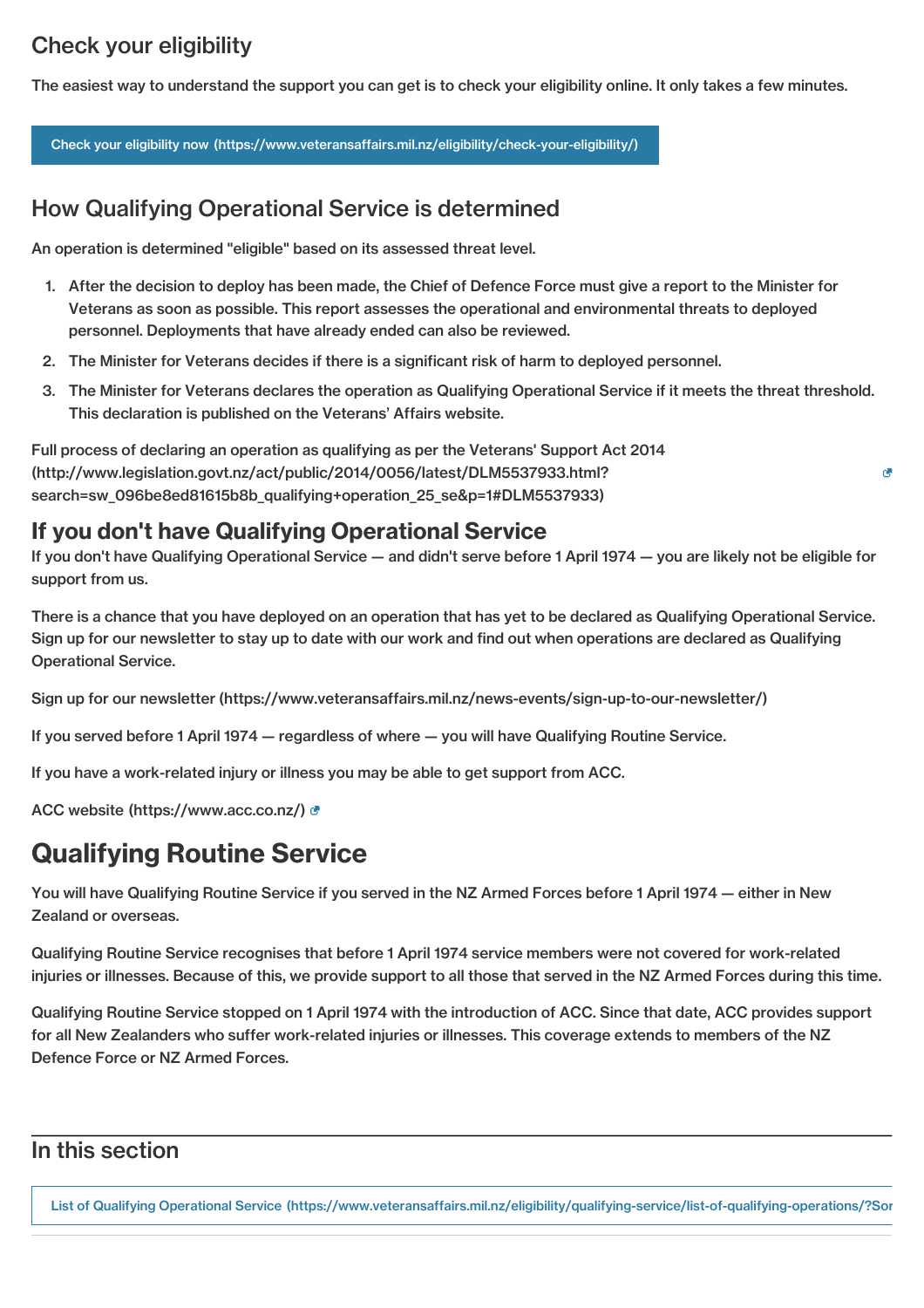## Check your eligibility

The easiest way to understand the support you can get is to check your eligibility online. It only takes a few minutes.

Check your eligibility now [\(https://www.veteransaffairs.mil.nz/eligibility/check-your-eligibility/\)](http://veteransaffairs.mil.nz/eligibility/check-your-eligibility/)

## How Qualifying Operational Service is determined

An operation is determined "eligible" based on its assessed threat level.

- 1. After the decision to deploy has been made, the Chief of Defence Force must give a report to the Minister for Veterans as soon as possible. This report assesses the operational and environmental threats to deployed personnel. Deployments that have already ended can also be reviewed.
- 2. The Minister for Veterans decides if there is a significant risk of harm to deployed personnel.
- 3. The Minister for Veterans declares the operation as Qualifying Operational Service if it meets the threat threshold. This declaration is published on the Veterans' Affairs website.

 $\overline{c}$ 

Full process of declaring an operation as qualifying as per the Veterans' Support Act 2014 [\(http://www.legislation.govt.nz/act/public/2014/0056/latest/DLM5537933.html?](http://www.legislation.govt.nz/act/public/2014/0056/latest/DLM5537933.html?search=sw_096be8ed81615b8b_qualifying+operation_25_se&p=1#DLM5537933) search=sw\_096be8ed81615b8b\_qualifying+operation\_25\_se&p=1#DLM5537933)

### If you don't have Qualifying Operational Service

If you don't have Qualifying Operational Service — and didn't serve before 1 April 1974 — you are likely not be eligible for support from us.

There is a chance that you have deployed on an operation that has yet to be declared as Qualifying Operational Service. Sign up for our newsletter to stay up to date with our work and find out when operations are declared as Qualifying Operational Service.

Sign up for our newsletter [\(https://www.veteransaffairs.mil.nz/news-events/sign-up-to-our-newsletter/\)](http://veteransaffairs.mil.nz/news-events/sign-up-to-our-newsletter/)

If you served before 1 April 1974 — regardless of where — you will have Qualifying Routine Service.

If you have a work-related injury or illness you may be able to get support from ACC.

ACC website [\(https://www.acc.co.nz/\)](https://www.acc.co.nz/)

## Qualifying Routine Service

You will have Qualifying Routine Service if you served in the NZ Armed Forces before 1 April 1974 — either in New Zealand or overseas.

Qualifying Routine Service recognises that before 1 April 1974 service members were not covered for work-related injuries or illnesses. Because of this, we provide support to all those that served in the NZ Armed Forces during this time.

Qualifying Routine Service stopped on 1 April 1974 with the introduction of ACC. Since that date, ACC provides support for all New Zealanders who suffer work-related injuries or illnesses. This coverage extends to members of the NZ Defence Force or NZ Armed Forces.

### In this section

List of Qualifying Operational Service (https://www.veteransaffairs.mil.nz/eligibility/qualifying-service/list-of-qualifying-operations/?Sor